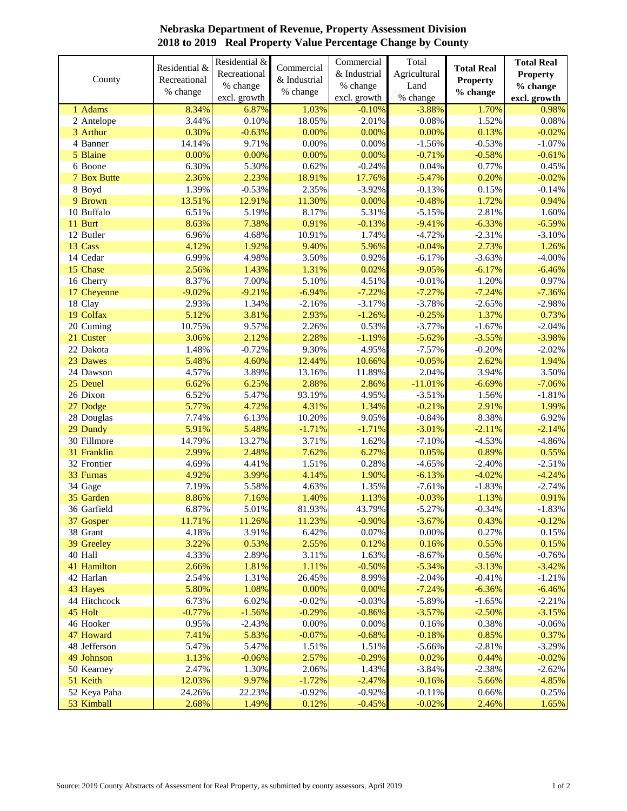| excl. growth<br>excl. growth<br>% change<br>excl. growth<br>6.87%<br>$-0.10%$<br>$-3.88%$<br>1 Adams<br>8.34%<br>1.03%<br>1.70%<br>0.10%<br>2.01%<br>$0.08\%$<br>2 Antelope<br>3.44%<br>18.05%<br>1.52%<br>0.30%<br>0.00%<br>0.00%<br>0.00%<br>0.13%<br>3 Arthur<br>$-0.63%$<br>$0.00\%$<br>$0.00\%$<br>$-0.53%$<br>4 Banner<br>14.14%<br>9.71%<br>$-1.56%$<br>5 Blaine<br>0.00%<br>0.00%<br>0.00%<br>0.00%<br>$-0.71%$<br>$-0.58%$<br>6 Boone<br>6.30%<br>5.30%<br>0.62%<br>$-0.24%$<br>0.04%<br>0.77%<br>2.36%<br>2.23%<br>$-5.47%$<br>0.20%<br>7 Box Butte<br>18.91%<br>17.76%<br>$-0.02%$<br>8 Boyd<br>1.39%<br>$-0.53%$<br>2.35%<br>$-3.92%$<br>$-0.13%$<br>0.15%<br>1.72%<br>9 Brown<br>13.51%<br>12.91%<br>11.30%<br>0.00%<br>$-0.48%$<br>10 Buffalo<br>5.31%<br>2.81%<br>6.51%<br>5.19%<br>8.17%<br>$-5.15%$<br>0.91%<br>$-6.33%$<br>11 Burt<br>8.63%<br>7.38%<br>$-0.13%$<br>$-9.41%$<br>12 Butler<br>6.96%<br>4.68%<br>10.91%<br>1.74%<br>$-4.72%$<br>$-2.31%$<br>13 Cass<br>2.73%<br>4.12%<br>1.92%<br>9.40%<br>5.96%<br>$-0.04%$<br>14 Cedar<br>6.99%<br>4.98%<br>3.50%<br>0.92%<br>$-6.17%$<br>$-3.63%$<br>15 Chase<br>1.31%<br>2.56%<br>1.43%<br>0.02%<br>$-9.05%$<br>$-6.17%$<br>7.00%<br>5.10%<br>4.51%<br>1.20%<br>16 Cherry<br>8.37%<br>$-0.01%$<br>17 Cheyenne<br>$-9.02%$<br>$-6.94%$<br>$-7.22%$<br>$-7.27%$<br>$-7.24%$<br>$-9.21%$<br>18 Clay<br>2.93%<br>1.34%<br>$-2.16%$<br>$-3.17%$<br>$-3.78%$<br>$-2.65%$<br>19 Colfax<br>1.37%<br>5.12%<br>3.81%<br>2.93%<br>$-1.26%$<br>$-0.25%$<br>20 Cuming<br>10.75%<br>9.57%<br>2.26%<br>0.53%<br>$-3.77%$<br>$-1.67%$<br>21 Custer<br>2.28%<br>$-5.62%$<br>3.06%<br>2.12%<br>$-1.19%$<br>$-3.55%$<br>$-3.98%$<br>9.30%<br>$-7.57%$<br>22 Dakota<br>1.48%<br>$-0.72%$<br>4.95%<br>$-0.20%$<br>2.62%<br>23 Dawes<br>5.48%<br>4.60%<br>12.44%<br>10.66%<br>$-0.05%$<br>2.04%<br>24 Dawson<br>4.57%<br>3.89%<br>13.16%<br>11.89%<br>3.94%<br>6.62%<br>2.88%<br>$-6.69%$<br>25 Deuel<br>6.25%<br>2.86%<br>$-11.01%$<br>26 Dixon<br>6.52%<br>5.47%<br>93.19%<br>4.95%<br>$-3.51%$<br>1.56%<br>27 Dodge<br>5.77%<br>4.72%<br>4.31%<br>1.34%<br>$-0.21%$<br>2.91%<br>8.38%<br>7.74%<br>10.20%<br>9.05%<br>$-0.84%$<br>28 Douglas<br>6.13%<br>29 Dundy<br>5.48%<br>5.91%<br>$-1.71%$<br>$-1.71%$<br>$-3.01%$<br>$-2.11%$<br>30 Fillmore<br>14.79%<br>13.27%<br>3.71%<br>1.62%<br>$-7.10%$<br>$-4.53%$<br>2.99%<br>7.62%<br>31 Franklin<br>2.48%<br>6.27%<br>0.05%<br>0.89%<br>1.51%<br>32 Frontier<br>4.69%<br>4.41%<br>0.28%<br>$-4.65%$<br>$-2.40%$<br>3.99%<br>4.14%<br>1.90%<br>33 Furnas<br>4.92%<br>$-6.13%$<br>$-4.02%$<br>34 Gage<br>7.19%<br>5.58%<br>4.63%<br>1.35%<br>$-7.61%$<br>$-1.83%$<br>35 Garden<br>8.86%<br>7.16%<br>1.40%<br>1.13%<br>$-0.03%$<br>1.13%<br>$-0.34%$<br>6.87%<br>5.01%<br>81.93%<br>43.79%<br>$-5.27%$<br>36 Garfield<br>$-0.90%$<br>37 Gosper<br>11.71%<br>11.26%<br>11.23%<br>$-3.67%$<br>0.43%<br>38 Grant<br>3.91%<br>0.07%<br>$0.00\%$<br>0.27%<br>4.18%<br>6.42%<br>3.22%<br>0.53%<br>2.55%<br>0.12%<br>0.16%<br>0.55%<br>39 Greeley<br>40 Hall<br>4.33%<br>2.89%<br>3.11%<br>1.63%<br>$-8.67%$<br>0.56%<br>41 Hamilton<br>2.66%<br>1.81%<br>1.11%<br>$-0.50%$<br>$-5.34%$<br>$-3.13%$<br>42 Harlan<br>2.54%<br>1.31%<br>26.45%<br>8.99%<br>$-2.04%$<br>$-0.41%$<br>5.80%<br>0.00%<br>43 Hayes<br>1.08%<br>0.00%<br>$-7.24%$<br>$-6.36%$<br>44 Hitchcock<br>6.73%<br>6.02%<br>$-0.02%$<br>$-0.03%$<br>$-5.89%$<br>$-1.65%$<br>$-0.29%$<br>45 Holt<br>$-0.77%$<br>$-1.56%$<br>$-0.86%$<br>$-3.57%$<br>$-2.50%$<br>$0.00\%$<br>0.00%<br>0.38%<br>46 Hooker<br>0.95%<br>$-2.43%$<br>0.16%<br>7.41%<br>5.83%<br>$-0.07%$<br>$-0.68%$<br>0.85%<br>47 Howard<br>$-0.18%$<br>1.51%<br>48 Jefferson<br>5.47%<br>5.47%<br>1.51%<br>$-5.66%$<br>$-2.81%$<br>49 Johnson<br>2.57%<br>$-0.29%$<br>0.02%<br>0.44%<br>1.13%<br>$-0.06%$<br>50 Kearney<br>2.47%<br>1.30%<br>2.06%<br>1.43%<br>$-3.84%$<br>$-2.38%$<br>51 Keith<br>$-1.72%$<br>12.03%<br>9.97%<br>$-2.47%$<br>$-0.16%$<br>5.66%<br>52 Keya Paha<br>$-0.92%$<br>$-0.92%$<br>24.26%<br>22.23%<br>$-0.11%$<br>0.66% | County | Residential &<br>Recreational | Residential &<br>Recreational<br>% change | Commercial<br>& Industrial | Commercial<br>& Industrial<br>% change | Total<br>Agricultural<br>Land | <b>Total Real</b><br><b>Property</b> | <b>Total Real</b><br><b>Property</b><br>% change |
|---------------------------------------------------------------------------------------------------------------------------------------------------------------------------------------------------------------------------------------------------------------------------------------------------------------------------------------------------------------------------------------------------------------------------------------------------------------------------------------------------------------------------------------------------------------------------------------------------------------------------------------------------------------------------------------------------------------------------------------------------------------------------------------------------------------------------------------------------------------------------------------------------------------------------------------------------------------------------------------------------------------------------------------------------------------------------------------------------------------------------------------------------------------------------------------------------------------------------------------------------------------------------------------------------------------------------------------------------------------------------------------------------------------------------------------------------------------------------------------------------------------------------------------------------------------------------------------------------------------------------------------------------------------------------------------------------------------------------------------------------------------------------------------------------------------------------------------------------------------------------------------------------------------------------------------------------------------------------------------------------------------------------------------------------------------------------------------------------------------------------------------------------------------------------------------------------------------------------------------------------------------------------------------------------------------------------------------------------------------------------------------------------------------------------------------------------------------------------------------------------------------------------------------------------------------------------------------------------------------------------------------------------------------------------------------------------------------------------------------------------------------------------------------------------------------------------------------------------------------------------------------------------------------------------------------------------------------------------------------------------------------------------------------------------------------------------------------------------------------------------------------------------------------------------------------------------------------------------------------------------------------------------------------------------------------------------------------------------------------------------------------------------------------------------------------------------------------------------------------------------------------------------------------------------------------------------------------------------------------------------------------------------------------------------------------------------------------------------------------------------------------------------------------------------------------------------------------------------------------------------------------------------------------------------------------------------------------------------------------------------------------------------------------------------------------------|--------|-------------------------------|-------------------------------------------|----------------------------|----------------------------------------|-------------------------------|--------------------------------------|--------------------------------------------------|
|                                                                                                                                                                                                                                                                                                                                                                                                                                                                                                                                                                                                                                                                                                                                                                                                                                                                                                                                                                                                                                                                                                                                                                                                                                                                                                                                                                                                                                                                                                                                                                                                                                                                                                                                                                                                                                                                                                                                                                                                                                                                                                                                                                                                                                                                                                                                                                                                                                                                                                                                                                                                                                                                                                                                                                                                                                                                                                                                                                                                                                                                                                                                                                                                                                                                                                                                                                                                                                                                                                                                                                                                                                                                                                                                                                                                                                                                                                                                                                                                                                                                     |        | % change                      |                                           | % change                   |                                        |                               | % change                             |                                                  |
|                                                                                                                                                                                                                                                                                                                                                                                                                                                                                                                                                                                                                                                                                                                                                                                                                                                                                                                                                                                                                                                                                                                                                                                                                                                                                                                                                                                                                                                                                                                                                                                                                                                                                                                                                                                                                                                                                                                                                                                                                                                                                                                                                                                                                                                                                                                                                                                                                                                                                                                                                                                                                                                                                                                                                                                                                                                                                                                                                                                                                                                                                                                                                                                                                                                                                                                                                                                                                                                                                                                                                                                                                                                                                                                                                                                                                                                                                                                                                                                                                                                                     |        |                               |                                           |                            |                                        |                               |                                      | 0.98%                                            |
| $-0.02%$<br>$-1.07%$<br>$-0.61%$<br>0.45%<br>$-0.14%$<br>0.94%<br>1.60%<br>$-6.59%$<br>$-3.10%$<br>1.26%<br>$-4.00%$<br>$-6.46%$<br>0.97%<br>$-7.36%$<br>$-2.98%$<br>0.73%<br>$-2.04%$<br>$-2.02%$<br>1.94%<br>3.50%<br>$-7.06%$<br>$-1.81%$<br>1.99%<br>6.92%<br>$-2.14%$<br>$-4.86%$<br>0.55%<br>$-2.51%$<br>$-4.24%$<br>$-2.74%$<br>0.91%<br>$-1.83%$<br>$-0.12%$<br>0.15%<br>0.15%<br>$-0.76%$<br>$-3.42%$<br>$-1.21%$<br>$-6.46%$<br>$-2.21%$<br>$-3.15%$<br>$-0.06%$<br>0.37%<br>$-3.29%$<br>$-0.02%$<br>$-2.62%$<br>4.85%<br>0.25%                                                                                                                                                                                                                                                                                                                                                                                                                                                                                                                                                                                                                                                                                                                                                                                                                                                                                                                                                                                                                                                                                                                                                                                                                                                                                                                                                                                                                                                                                                                                                                                                                                                                                                                                                                                                                                                                                                                                                                                                                                                                                                                                                                                                                                                                                                                                                                                                                                                                                                                                                                                                                                                                                                                                                                                                                                                                                                                                                                                                                                                                                                                                                                                                                                                                                                                                                                                                                                                                                                                           |        |                               |                                           |                            |                                        |                               |                                      | 0.08%                                            |
|                                                                                                                                                                                                                                                                                                                                                                                                                                                                                                                                                                                                                                                                                                                                                                                                                                                                                                                                                                                                                                                                                                                                                                                                                                                                                                                                                                                                                                                                                                                                                                                                                                                                                                                                                                                                                                                                                                                                                                                                                                                                                                                                                                                                                                                                                                                                                                                                                                                                                                                                                                                                                                                                                                                                                                                                                                                                                                                                                                                                                                                                                                                                                                                                                                                                                                                                                                                                                                                                                                                                                                                                                                                                                                                                                                                                                                                                                                                                                                                                                                                                     |        |                               |                                           |                            |                                        |                               |                                      |                                                  |
|                                                                                                                                                                                                                                                                                                                                                                                                                                                                                                                                                                                                                                                                                                                                                                                                                                                                                                                                                                                                                                                                                                                                                                                                                                                                                                                                                                                                                                                                                                                                                                                                                                                                                                                                                                                                                                                                                                                                                                                                                                                                                                                                                                                                                                                                                                                                                                                                                                                                                                                                                                                                                                                                                                                                                                                                                                                                                                                                                                                                                                                                                                                                                                                                                                                                                                                                                                                                                                                                                                                                                                                                                                                                                                                                                                                                                                                                                                                                                                                                                                                                     |        |                               |                                           |                            |                                        |                               |                                      |                                                  |
|                                                                                                                                                                                                                                                                                                                                                                                                                                                                                                                                                                                                                                                                                                                                                                                                                                                                                                                                                                                                                                                                                                                                                                                                                                                                                                                                                                                                                                                                                                                                                                                                                                                                                                                                                                                                                                                                                                                                                                                                                                                                                                                                                                                                                                                                                                                                                                                                                                                                                                                                                                                                                                                                                                                                                                                                                                                                                                                                                                                                                                                                                                                                                                                                                                                                                                                                                                                                                                                                                                                                                                                                                                                                                                                                                                                                                                                                                                                                                                                                                                                                     |        |                               |                                           |                            |                                        |                               |                                      |                                                  |
|                                                                                                                                                                                                                                                                                                                                                                                                                                                                                                                                                                                                                                                                                                                                                                                                                                                                                                                                                                                                                                                                                                                                                                                                                                                                                                                                                                                                                                                                                                                                                                                                                                                                                                                                                                                                                                                                                                                                                                                                                                                                                                                                                                                                                                                                                                                                                                                                                                                                                                                                                                                                                                                                                                                                                                                                                                                                                                                                                                                                                                                                                                                                                                                                                                                                                                                                                                                                                                                                                                                                                                                                                                                                                                                                                                                                                                                                                                                                                                                                                                                                     |        |                               |                                           |                            |                                        |                               |                                      |                                                  |
|                                                                                                                                                                                                                                                                                                                                                                                                                                                                                                                                                                                                                                                                                                                                                                                                                                                                                                                                                                                                                                                                                                                                                                                                                                                                                                                                                                                                                                                                                                                                                                                                                                                                                                                                                                                                                                                                                                                                                                                                                                                                                                                                                                                                                                                                                                                                                                                                                                                                                                                                                                                                                                                                                                                                                                                                                                                                                                                                                                                                                                                                                                                                                                                                                                                                                                                                                                                                                                                                                                                                                                                                                                                                                                                                                                                                                                                                                                                                                                                                                                                                     |        |                               |                                           |                            |                                        |                               |                                      |                                                  |
|                                                                                                                                                                                                                                                                                                                                                                                                                                                                                                                                                                                                                                                                                                                                                                                                                                                                                                                                                                                                                                                                                                                                                                                                                                                                                                                                                                                                                                                                                                                                                                                                                                                                                                                                                                                                                                                                                                                                                                                                                                                                                                                                                                                                                                                                                                                                                                                                                                                                                                                                                                                                                                                                                                                                                                                                                                                                                                                                                                                                                                                                                                                                                                                                                                                                                                                                                                                                                                                                                                                                                                                                                                                                                                                                                                                                                                                                                                                                                                                                                                                                     |        |                               |                                           |                            |                                        |                               |                                      |                                                  |
|                                                                                                                                                                                                                                                                                                                                                                                                                                                                                                                                                                                                                                                                                                                                                                                                                                                                                                                                                                                                                                                                                                                                                                                                                                                                                                                                                                                                                                                                                                                                                                                                                                                                                                                                                                                                                                                                                                                                                                                                                                                                                                                                                                                                                                                                                                                                                                                                                                                                                                                                                                                                                                                                                                                                                                                                                                                                                                                                                                                                                                                                                                                                                                                                                                                                                                                                                                                                                                                                                                                                                                                                                                                                                                                                                                                                                                                                                                                                                                                                                                                                     |        |                               |                                           |                            |                                        |                               |                                      |                                                  |
|                                                                                                                                                                                                                                                                                                                                                                                                                                                                                                                                                                                                                                                                                                                                                                                                                                                                                                                                                                                                                                                                                                                                                                                                                                                                                                                                                                                                                                                                                                                                                                                                                                                                                                                                                                                                                                                                                                                                                                                                                                                                                                                                                                                                                                                                                                                                                                                                                                                                                                                                                                                                                                                                                                                                                                                                                                                                                                                                                                                                                                                                                                                                                                                                                                                                                                                                                                                                                                                                                                                                                                                                                                                                                                                                                                                                                                                                                                                                                                                                                                                                     |        |                               |                                           |                            |                                        |                               |                                      |                                                  |
|                                                                                                                                                                                                                                                                                                                                                                                                                                                                                                                                                                                                                                                                                                                                                                                                                                                                                                                                                                                                                                                                                                                                                                                                                                                                                                                                                                                                                                                                                                                                                                                                                                                                                                                                                                                                                                                                                                                                                                                                                                                                                                                                                                                                                                                                                                                                                                                                                                                                                                                                                                                                                                                                                                                                                                                                                                                                                                                                                                                                                                                                                                                                                                                                                                                                                                                                                                                                                                                                                                                                                                                                                                                                                                                                                                                                                                                                                                                                                                                                                                                                     |        |                               |                                           |                            |                                        |                               |                                      |                                                  |
|                                                                                                                                                                                                                                                                                                                                                                                                                                                                                                                                                                                                                                                                                                                                                                                                                                                                                                                                                                                                                                                                                                                                                                                                                                                                                                                                                                                                                                                                                                                                                                                                                                                                                                                                                                                                                                                                                                                                                                                                                                                                                                                                                                                                                                                                                                                                                                                                                                                                                                                                                                                                                                                                                                                                                                                                                                                                                                                                                                                                                                                                                                                                                                                                                                                                                                                                                                                                                                                                                                                                                                                                                                                                                                                                                                                                                                                                                                                                                                                                                                                                     |        |                               |                                           |                            |                                        |                               |                                      |                                                  |
|                                                                                                                                                                                                                                                                                                                                                                                                                                                                                                                                                                                                                                                                                                                                                                                                                                                                                                                                                                                                                                                                                                                                                                                                                                                                                                                                                                                                                                                                                                                                                                                                                                                                                                                                                                                                                                                                                                                                                                                                                                                                                                                                                                                                                                                                                                                                                                                                                                                                                                                                                                                                                                                                                                                                                                                                                                                                                                                                                                                                                                                                                                                                                                                                                                                                                                                                                                                                                                                                                                                                                                                                                                                                                                                                                                                                                                                                                                                                                                                                                                                                     |        |                               |                                           |                            |                                        |                               |                                      |                                                  |
|                                                                                                                                                                                                                                                                                                                                                                                                                                                                                                                                                                                                                                                                                                                                                                                                                                                                                                                                                                                                                                                                                                                                                                                                                                                                                                                                                                                                                                                                                                                                                                                                                                                                                                                                                                                                                                                                                                                                                                                                                                                                                                                                                                                                                                                                                                                                                                                                                                                                                                                                                                                                                                                                                                                                                                                                                                                                                                                                                                                                                                                                                                                                                                                                                                                                                                                                                                                                                                                                                                                                                                                                                                                                                                                                                                                                                                                                                                                                                                                                                                                                     |        |                               |                                           |                            |                                        |                               |                                      |                                                  |
|                                                                                                                                                                                                                                                                                                                                                                                                                                                                                                                                                                                                                                                                                                                                                                                                                                                                                                                                                                                                                                                                                                                                                                                                                                                                                                                                                                                                                                                                                                                                                                                                                                                                                                                                                                                                                                                                                                                                                                                                                                                                                                                                                                                                                                                                                                                                                                                                                                                                                                                                                                                                                                                                                                                                                                                                                                                                                                                                                                                                                                                                                                                                                                                                                                                                                                                                                                                                                                                                                                                                                                                                                                                                                                                                                                                                                                                                                                                                                                                                                                                                     |        |                               |                                           |                            |                                        |                               |                                      |                                                  |
|                                                                                                                                                                                                                                                                                                                                                                                                                                                                                                                                                                                                                                                                                                                                                                                                                                                                                                                                                                                                                                                                                                                                                                                                                                                                                                                                                                                                                                                                                                                                                                                                                                                                                                                                                                                                                                                                                                                                                                                                                                                                                                                                                                                                                                                                                                                                                                                                                                                                                                                                                                                                                                                                                                                                                                                                                                                                                                                                                                                                                                                                                                                                                                                                                                                                                                                                                                                                                                                                                                                                                                                                                                                                                                                                                                                                                                                                                                                                                                                                                                                                     |        |                               |                                           |                            |                                        |                               |                                      |                                                  |
|                                                                                                                                                                                                                                                                                                                                                                                                                                                                                                                                                                                                                                                                                                                                                                                                                                                                                                                                                                                                                                                                                                                                                                                                                                                                                                                                                                                                                                                                                                                                                                                                                                                                                                                                                                                                                                                                                                                                                                                                                                                                                                                                                                                                                                                                                                                                                                                                                                                                                                                                                                                                                                                                                                                                                                                                                                                                                                                                                                                                                                                                                                                                                                                                                                                                                                                                                                                                                                                                                                                                                                                                                                                                                                                                                                                                                                                                                                                                                                                                                                                                     |        |                               |                                           |                            |                                        |                               |                                      |                                                  |
|                                                                                                                                                                                                                                                                                                                                                                                                                                                                                                                                                                                                                                                                                                                                                                                                                                                                                                                                                                                                                                                                                                                                                                                                                                                                                                                                                                                                                                                                                                                                                                                                                                                                                                                                                                                                                                                                                                                                                                                                                                                                                                                                                                                                                                                                                                                                                                                                                                                                                                                                                                                                                                                                                                                                                                                                                                                                                                                                                                                                                                                                                                                                                                                                                                                                                                                                                                                                                                                                                                                                                                                                                                                                                                                                                                                                                                                                                                                                                                                                                                                                     |        |                               |                                           |                            |                                        |                               |                                      |                                                  |
|                                                                                                                                                                                                                                                                                                                                                                                                                                                                                                                                                                                                                                                                                                                                                                                                                                                                                                                                                                                                                                                                                                                                                                                                                                                                                                                                                                                                                                                                                                                                                                                                                                                                                                                                                                                                                                                                                                                                                                                                                                                                                                                                                                                                                                                                                                                                                                                                                                                                                                                                                                                                                                                                                                                                                                                                                                                                                                                                                                                                                                                                                                                                                                                                                                                                                                                                                                                                                                                                                                                                                                                                                                                                                                                                                                                                                                                                                                                                                                                                                                                                     |        |                               |                                           |                            |                                        |                               |                                      |                                                  |
|                                                                                                                                                                                                                                                                                                                                                                                                                                                                                                                                                                                                                                                                                                                                                                                                                                                                                                                                                                                                                                                                                                                                                                                                                                                                                                                                                                                                                                                                                                                                                                                                                                                                                                                                                                                                                                                                                                                                                                                                                                                                                                                                                                                                                                                                                                                                                                                                                                                                                                                                                                                                                                                                                                                                                                                                                                                                                                                                                                                                                                                                                                                                                                                                                                                                                                                                                                                                                                                                                                                                                                                                                                                                                                                                                                                                                                                                                                                                                                                                                                                                     |        |                               |                                           |                            |                                        |                               |                                      |                                                  |
|                                                                                                                                                                                                                                                                                                                                                                                                                                                                                                                                                                                                                                                                                                                                                                                                                                                                                                                                                                                                                                                                                                                                                                                                                                                                                                                                                                                                                                                                                                                                                                                                                                                                                                                                                                                                                                                                                                                                                                                                                                                                                                                                                                                                                                                                                                                                                                                                                                                                                                                                                                                                                                                                                                                                                                                                                                                                                                                                                                                                                                                                                                                                                                                                                                                                                                                                                                                                                                                                                                                                                                                                                                                                                                                                                                                                                                                                                                                                                                                                                                                                     |        |                               |                                           |                            |                                        |                               |                                      |                                                  |
|                                                                                                                                                                                                                                                                                                                                                                                                                                                                                                                                                                                                                                                                                                                                                                                                                                                                                                                                                                                                                                                                                                                                                                                                                                                                                                                                                                                                                                                                                                                                                                                                                                                                                                                                                                                                                                                                                                                                                                                                                                                                                                                                                                                                                                                                                                                                                                                                                                                                                                                                                                                                                                                                                                                                                                                                                                                                                                                                                                                                                                                                                                                                                                                                                                                                                                                                                                                                                                                                                                                                                                                                                                                                                                                                                                                                                                                                                                                                                                                                                                                                     |        |                               |                                           |                            |                                        |                               |                                      |                                                  |
|                                                                                                                                                                                                                                                                                                                                                                                                                                                                                                                                                                                                                                                                                                                                                                                                                                                                                                                                                                                                                                                                                                                                                                                                                                                                                                                                                                                                                                                                                                                                                                                                                                                                                                                                                                                                                                                                                                                                                                                                                                                                                                                                                                                                                                                                                                                                                                                                                                                                                                                                                                                                                                                                                                                                                                                                                                                                                                                                                                                                                                                                                                                                                                                                                                                                                                                                                                                                                                                                                                                                                                                                                                                                                                                                                                                                                                                                                                                                                                                                                                                                     |        |                               |                                           |                            |                                        |                               |                                      |                                                  |
|                                                                                                                                                                                                                                                                                                                                                                                                                                                                                                                                                                                                                                                                                                                                                                                                                                                                                                                                                                                                                                                                                                                                                                                                                                                                                                                                                                                                                                                                                                                                                                                                                                                                                                                                                                                                                                                                                                                                                                                                                                                                                                                                                                                                                                                                                                                                                                                                                                                                                                                                                                                                                                                                                                                                                                                                                                                                                                                                                                                                                                                                                                                                                                                                                                                                                                                                                                                                                                                                                                                                                                                                                                                                                                                                                                                                                                                                                                                                                                                                                                                                     |        |                               |                                           |                            |                                        |                               |                                      |                                                  |
|                                                                                                                                                                                                                                                                                                                                                                                                                                                                                                                                                                                                                                                                                                                                                                                                                                                                                                                                                                                                                                                                                                                                                                                                                                                                                                                                                                                                                                                                                                                                                                                                                                                                                                                                                                                                                                                                                                                                                                                                                                                                                                                                                                                                                                                                                                                                                                                                                                                                                                                                                                                                                                                                                                                                                                                                                                                                                                                                                                                                                                                                                                                                                                                                                                                                                                                                                                                                                                                                                                                                                                                                                                                                                                                                                                                                                                                                                                                                                                                                                                                                     |        |                               |                                           |                            |                                        |                               |                                      |                                                  |
|                                                                                                                                                                                                                                                                                                                                                                                                                                                                                                                                                                                                                                                                                                                                                                                                                                                                                                                                                                                                                                                                                                                                                                                                                                                                                                                                                                                                                                                                                                                                                                                                                                                                                                                                                                                                                                                                                                                                                                                                                                                                                                                                                                                                                                                                                                                                                                                                                                                                                                                                                                                                                                                                                                                                                                                                                                                                                                                                                                                                                                                                                                                                                                                                                                                                                                                                                                                                                                                                                                                                                                                                                                                                                                                                                                                                                                                                                                                                                                                                                                                                     |        |                               |                                           |                            |                                        |                               |                                      |                                                  |
|                                                                                                                                                                                                                                                                                                                                                                                                                                                                                                                                                                                                                                                                                                                                                                                                                                                                                                                                                                                                                                                                                                                                                                                                                                                                                                                                                                                                                                                                                                                                                                                                                                                                                                                                                                                                                                                                                                                                                                                                                                                                                                                                                                                                                                                                                                                                                                                                                                                                                                                                                                                                                                                                                                                                                                                                                                                                                                                                                                                                                                                                                                                                                                                                                                                                                                                                                                                                                                                                                                                                                                                                                                                                                                                                                                                                                                                                                                                                                                                                                                                                     |        |                               |                                           |                            |                                        |                               |                                      |                                                  |
|                                                                                                                                                                                                                                                                                                                                                                                                                                                                                                                                                                                                                                                                                                                                                                                                                                                                                                                                                                                                                                                                                                                                                                                                                                                                                                                                                                                                                                                                                                                                                                                                                                                                                                                                                                                                                                                                                                                                                                                                                                                                                                                                                                                                                                                                                                                                                                                                                                                                                                                                                                                                                                                                                                                                                                                                                                                                                                                                                                                                                                                                                                                                                                                                                                                                                                                                                                                                                                                                                                                                                                                                                                                                                                                                                                                                                                                                                                                                                                                                                                                                     |        |                               |                                           |                            |                                        |                               |                                      |                                                  |
|                                                                                                                                                                                                                                                                                                                                                                                                                                                                                                                                                                                                                                                                                                                                                                                                                                                                                                                                                                                                                                                                                                                                                                                                                                                                                                                                                                                                                                                                                                                                                                                                                                                                                                                                                                                                                                                                                                                                                                                                                                                                                                                                                                                                                                                                                                                                                                                                                                                                                                                                                                                                                                                                                                                                                                                                                                                                                                                                                                                                                                                                                                                                                                                                                                                                                                                                                                                                                                                                                                                                                                                                                                                                                                                                                                                                                                                                                                                                                                                                                                                                     |        |                               |                                           |                            |                                        |                               |                                      |                                                  |
|                                                                                                                                                                                                                                                                                                                                                                                                                                                                                                                                                                                                                                                                                                                                                                                                                                                                                                                                                                                                                                                                                                                                                                                                                                                                                                                                                                                                                                                                                                                                                                                                                                                                                                                                                                                                                                                                                                                                                                                                                                                                                                                                                                                                                                                                                                                                                                                                                                                                                                                                                                                                                                                                                                                                                                                                                                                                                                                                                                                                                                                                                                                                                                                                                                                                                                                                                                                                                                                                                                                                                                                                                                                                                                                                                                                                                                                                                                                                                                                                                                                                     |        |                               |                                           |                            |                                        |                               |                                      |                                                  |
|                                                                                                                                                                                                                                                                                                                                                                                                                                                                                                                                                                                                                                                                                                                                                                                                                                                                                                                                                                                                                                                                                                                                                                                                                                                                                                                                                                                                                                                                                                                                                                                                                                                                                                                                                                                                                                                                                                                                                                                                                                                                                                                                                                                                                                                                                                                                                                                                                                                                                                                                                                                                                                                                                                                                                                                                                                                                                                                                                                                                                                                                                                                                                                                                                                                                                                                                                                                                                                                                                                                                                                                                                                                                                                                                                                                                                                                                                                                                                                                                                                                                     |        |                               |                                           |                            |                                        |                               |                                      |                                                  |
|                                                                                                                                                                                                                                                                                                                                                                                                                                                                                                                                                                                                                                                                                                                                                                                                                                                                                                                                                                                                                                                                                                                                                                                                                                                                                                                                                                                                                                                                                                                                                                                                                                                                                                                                                                                                                                                                                                                                                                                                                                                                                                                                                                                                                                                                                                                                                                                                                                                                                                                                                                                                                                                                                                                                                                                                                                                                                                                                                                                                                                                                                                                                                                                                                                                                                                                                                                                                                                                                                                                                                                                                                                                                                                                                                                                                                                                                                                                                                                                                                                                                     |        |                               |                                           |                            |                                        |                               |                                      |                                                  |
|                                                                                                                                                                                                                                                                                                                                                                                                                                                                                                                                                                                                                                                                                                                                                                                                                                                                                                                                                                                                                                                                                                                                                                                                                                                                                                                                                                                                                                                                                                                                                                                                                                                                                                                                                                                                                                                                                                                                                                                                                                                                                                                                                                                                                                                                                                                                                                                                                                                                                                                                                                                                                                                                                                                                                                                                                                                                                                                                                                                                                                                                                                                                                                                                                                                                                                                                                                                                                                                                                                                                                                                                                                                                                                                                                                                                                                                                                                                                                                                                                                                                     |        |                               |                                           |                            |                                        |                               |                                      |                                                  |
|                                                                                                                                                                                                                                                                                                                                                                                                                                                                                                                                                                                                                                                                                                                                                                                                                                                                                                                                                                                                                                                                                                                                                                                                                                                                                                                                                                                                                                                                                                                                                                                                                                                                                                                                                                                                                                                                                                                                                                                                                                                                                                                                                                                                                                                                                                                                                                                                                                                                                                                                                                                                                                                                                                                                                                                                                                                                                                                                                                                                                                                                                                                                                                                                                                                                                                                                                                                                                                                                                                                                                                                                                                                                                                                                                                                                                                                                                                                                                                                                                                                                     |        |                               |                                           |                            |                                        |                               |                                      |                                                  |
|                                                                                                                                                                                                                                                                                                                                                                                                                                                                                                                                                                                                                                                                                                                                                                                                                                                                                                                                                                                                                                                                                                                                                                                                                                                                                                                                                                                                                                                                                                                                                                                                                                                                                                                                                                                                                                                                                                                                                                                                                                                                                                                                                                                                                                                                                                                                                                                                                                                                                                                                                                                                                                                                                                                                                                                                                                                                                                                                                                                                                                                                                                                                                                                                                                                                                                                                                                                                                                                                                                                                                                                                                                                                                                                                                                                                                                                                                                                                                                                                                                                                     |        |                               |                                           |                            |                                        |                               |                                      |                                                  |
|                                                                                                                                                                                                                                                                                                                                                                                                                                                                                                                                                                                                                                                                                                                                                                                                                                                                                                                                                                                                                                                                                                                                                                                                                                                                                                                                                                                                                                                                                                                                                                                                                                                                                                                                                                                                                                                                                                                                                                                                                                                                                                                                                                                                                                                                                                                                                                                                                                                                                                                                                                                                                                                                                                                                                                                                                                                                                                                                                                                                                                                                                                                                                                                                                                                                                                                                                                                                                                                                                                                                                                                                                                                                                                                                                                                                                                                                                                                                                                                                                                                                     |        |                               |                                           |                            |                                        |                               |                                      |                                                  |
|                                                                                                                                                                                                                                                                                                                                                                                                                                                                                                                                                                                                                                                                                                                                                                                                                                                                                                                                                                                                                                                                                                                                                                                                                                                                                                                                                                                                                                                                                                                                                                                                                                                                                                                                                                                                                                                                                                                                                                                                                                                                                                                                                                                                                                                                                                                                                                                                                                                                                                                                                                                                                                                                                                                                                                                                                                                                                                                                                                                                                                                                                                                                                                                                                                                                                                                                                                                                                                                                                                                                                                                                                                                                                                                                                                                                                                                                                                                                                                                                                                                                     |        |                               |                                           |                            |                                        |                               |                                      |                                                  |
|                                                                                                                                                                                                                                                                                                                                                                                                                                                                                                                                                                                                                                                                                                                                                                                                                                                                                                                                                                                                                                                                                                                                                                                                                                                                                                                                                                                                                                                                                                                                                                                                                                                                                                                                                                                                                                                                                                                                                                                                                                                                                                                                                                                                                                                                                                                                                                                                                                                                                                                                                                                                                                                                                                                                                                                                                                                                                                                                                                                                                                                                                                                                                                                                                                                                                                                                                                                                                                                                                                                                                                                                                                                                                                                                                                                                                                                                                                                                                                                                                                                                     |        |                               |                                           |                            |                                        |                               |                                      |                                                  |
|                                                                                                                                                                                                                                                                                                                                                                                                                                                                                                                                                                                                                                                                                                                                                                                                                                                                                                                                                                                                                                                                                                                                                                                                                                                                                                                                                                                                                                                                                                                                                                                                                                                                                                                                                                                                                                                                                                                                                                                                                                                                                                                                                                                                                                                                                                                                                                                                                                                                                                                                                                                                                                                                                                                                                                                                                                                                                                                                                                                                                                                                                                                                                                                                                                                                                                                                                                                                                                                                                                                                                                                                                                                                                                                                                                                                                                                                                                                                                                                                                                                                     |        |                               |                                           |                            |                                        |                               |                                      |                                                  |
|                                                                                                                                                                                                                                                                                                                                                                                                                                                                                                                                                                                                                                                                                                                                                                                                                                                                                                                                                                                                                                                                                                                                                                                                                                                                                                                                                                                                                                                                                                                                                                                                                                                                                                                                                                                                                                                                                                                                                                                                                                                                                                                                                                                                                                                                                                                                                                                                                                                                                                                                                                                                                                                                                                                                                                                                                                                                                                                                                                                                                                                                                                                                                                                                                                                                                                                                                                                                                                                                                                                                                                                                                                                                                                                                                                                                                                                                                                                                                                                                                                                                     |        |                               |                                           |                            |                                        |                               |                                      |                                                  |
|                                                                                                                                                                                                                                                                                                                                                                                                                                                                                                                                                                                                                                                                                                                                                                                                                                                                                                                                                                                                                                                                                                                                                                                                                                                                                                                                                                                                                                                                                                                                                                                                                                                                                                                                                                                                                                                                                                                                                                                                                                                                                                                                                                                                                                                                                                                                                                                                                                                                                                                                                                                                                                                                                                                                                                                                                                                                                                                                                                                                                                                                                                                                                                                                                                                                                                                                                                                                                                                                                                                                                                                                                                                                                                                                                                                                                                                                                                                                                                                                                                                                     |        |                               |                                           |                            |                                        |                               |                                      |                                                  |
|                                                                                                                                                                                                                                                                                                                                                                                                                                                                                                                                                                                                                                                                                                                                                                                                                                                                                                                                                                                                                                                                                                                                                                                                                                                                                                                                                                                                                                                                                                                                                                                                                                                                                                                                                                                                                                                                                                                                                                                                                                                                                                                                                                                                                                                                                                                                                                                                                                                                                                                                                                                                                                                                                                                                                                                                                                                                                                                                                                                                                                                                                                                                                                                                                                                                                                                                                                                                                                                                                                                                                                                                                                                                                                                                                                                                                                                                                                                                                                                                                                                                     |        |                               |                                           |                            |                                        |                               |                                      |                                                  |
|                                                                                                                                                                                                                                                                                                                                                                                                                                                                                                                                                                                                                                                                                                                                                                                                                                                                                                                                                                                                                                                                                                                                                                                                                                                                                                                                                                                                                                                                                                                                                                                                                                                                                                                                                                                                                                                                                                                                                                                                                                                                                                                                                                                                                                                                                                                                                                                                                                                                                                                                                                                                                                                                                                                                                                                                                                                                                                                                                                                                                                                                                                                                                                                                                                                                                                                                                                                                                                                                                                                                                                                                                                                                                                                                                                                                                                                                                                                                                                                                                                                                     |        |                               |                                           |                            |                                        |                               |                                      |                                                  |
|                                                                                                                                                                                                                                                                                                                                                                                                                                                                                                                                                                                                                                                                                                                                                                                                                                                                                                                                                                                                                                                                                                                                                                                                                                                                                                                                                                                                                                                                                                                                                                                                                                                                                                                                                                                                                                                                                                                                                                                                                                                                                                                                                                                                                                                                                                                                                                                                                                                                                                                                                                                                                                                                                                                                                                                                                                                                                                                                                                                                                                                                                                                                                                                                                                                                                                                                                                                                                                                                                                                                                                                                                                                                                                                                                                                                                                                                                                                                                                                                                                                                     |        |                               |                                           |                            |                                        |                               |                                      |                                                  |
|                                                                                                                                                                                                                                                                                                                                                                                                                                                                                                                                                                                                                                                                                                                                                                                                                                                                                                                                                                                                                                                                                                                                                                                                                                                                                                                                                                                                                                                                                                                                                                                                                                                                                                                                                                                                                                                                                                                                                                                                                                                                                                                                                                                                                                                                                                                                                                                                                                                                                                                                                                                                                                                                                                                                                                                                                                                                                                                                                                                                                                                                                                                                                                                                                                                                                                                                                                                                                                                                                                                                                                                                                                                                                                                                                                                                                                                                                                                                                                                                                                                                     |        |                               |                                           |                            |                                        |                               |                                      |                                                  |
|                                                                                                                                                                                                                                                                                                                                                                                                                                                                                                                                                                                                                                                                                                                                                                                                                                                                                                                                                                                                                                                                                                                                                                                                                                                                                                                                                                                                                                                                                                                                                                                                                                                                                                                                                                                                                                                                                                                                                                                                                                                                                                                                                                                                                                                                                                                                                                                                                                                                                                                                                                                                                                                                                                                                                                                                                                                                                                                                                                                                                                                                                                                                                                                                                                                                                                                                                                                                                                                                                                                                                                                                                                                                                                                                                                                                                                                                                                                                                                                                                                                                     |        |                               |                                           |                            |                                        |                               |                                      |                                                  |
|                                                                                                                                                                                                                                                                                                                                                                                                                                                                                                                                                                                                                                                                                                                                                                                                                                                                                                                                                                                                                                                                                                                                                                                                                                                                                                                                                                                                                                                                                                                                                                                                                                                                                                                                                                                                                                                                                                                                                                                                                                                                                                                                                                                                                                                                                                                                                                                                                                                                                                                                                                                                                                                                                                                                                                                                                                                                                                                                                                                                                                                                                                                                                                                                                                                                                                                                                                                                                                                                                                                                                                                                                                                                                                                                                                                                                                                                                                                                                                                                                                                                     |        |                               |                                           |                            |                                        |                               |                                      |                                                  |
|                                                                                                                                                                                                                                                                                                                                                                                                                                                                                                                                                                                                                                                                                                                                                                                                                                                                                                                                                                                                                                                                                                                                                                                                                                                                                                                                                                                                                                                                                                                                                                                                                                                                                                                                                                                                                                                                                                                                                                                                                                                                                                                                                                                                                                                                                                                                                                                                                                                                                                                                                                                                                                                                                                                                                                                                                                                                                                                                                                                                                                                                                                                                                                                                                                                                                                                                                                                                                                                                                                                                                                                                                                                                                                                                                                                                                                                                                                                                                                                                                                                                     |        |                               |                                           |                            |                                        |                               |                                      |                                                  |
|                                                                                                                                                                                                                                                                                                                                                                                                                                                                                                                                                                                                                                                                                                                                                                                                                                                                                                                                                                                                                                                                                                                                                                                                                                                                                                                                                                                                                                                                                                                                                                                                                                                                                                                                                                                                                                                                                                                                                                                                                                                                                                                                                                                                                                                                                                                                                                                                                                                                                                                                                                                                                                                                                                                                                                                                                                                                                                                                                                                                                                                                                                                                                                                                                                                                                                                                                                                                                                                                                                                                                                                                                                                                                                                                                                                                                                                                                                                                                                                                                                                                     |        |                               |                                           |                            |                                        |                               |                                      |                                                  |
|                                                                                                                                                                                                                                                                                                                                                                                                                                                                                                                                                                                                                                                                                                                                                                                                                                                                                                                                                                                                                                                                                                                                                                                                                                                                                                                                                                                                                                                                                                                                                                                                                                                                                                                                                                                                                                                                                                                                                                                                                                                                                                                                                                                                                                                                                                                                                                                                                                                                                                                                                                                                                                                                                                                                                                                                                                                                                                                                                                                                                                                                                                                                                                                                                                                                                                                                                                                                                                                                                                                                                                                                                                                                                                                                                                                                                                                                                                                                                                                                                                                                     |        |                               |                                           |                            |                                        |                               |                                      |                                                  |
|                                                                                                                                                                                                                                                                                                                                                                                                                                                                                                                                                                                                                                                                                                                                                                                                                                                                                                                                                                                                                                                                                                                                                                                                                                                                                                                                                                                                                                                                                                                                                                                                                                                                                                                                                                                                                                                                                                                                                                                                                                                                                                                                                                                                                                                                                                                                                                                                                                                                                                                                                                                                                                                                                                                                                                                                                                                                                                                                                                                                                                                                                                                                                                                                                                                                                                                                                                                                                                                                                                                                                                                                                                                                                                                                                                                                                                                                                                                                                                                                                                                                     |        |                               |                                           |                            |                                        |                               |                                      |                                                  |
| 53 Kimball<br>2.68%<br>0.12%<br>$-0.45%$<br>$-0.02%$<br>1.49%<br>2.46%<br>1.65%                                                                                                                                                                                                                                                                                                                                                                                                                                                                                                                                                                                                                                                                                                                                                                                                                                                                                                                                                                                                                                                                                                                                                                                                                                                                                                                                                                                                                                                                                                                                                                                                                                                                                                                                                                                                                                                                                                                                                                                                                                                                                                                                                                                                                                                                                                                                                                                                                                                                                                                                                                                                                                                                                                                                                                                                                                                                                                                                                                                                                                                                                                                                                                                                                                                                                                                                                                                                                                                                                                                                                                                                                                                                                                                                                                                                                                                                                                                                                                                     |        |                               |                                           |                            |                                        |                               |                                      |                                                  |

## **Nebraska Department of Revenue, Property Assessment Division 2018 to 2019 Real Property Value Percentage Change by County**